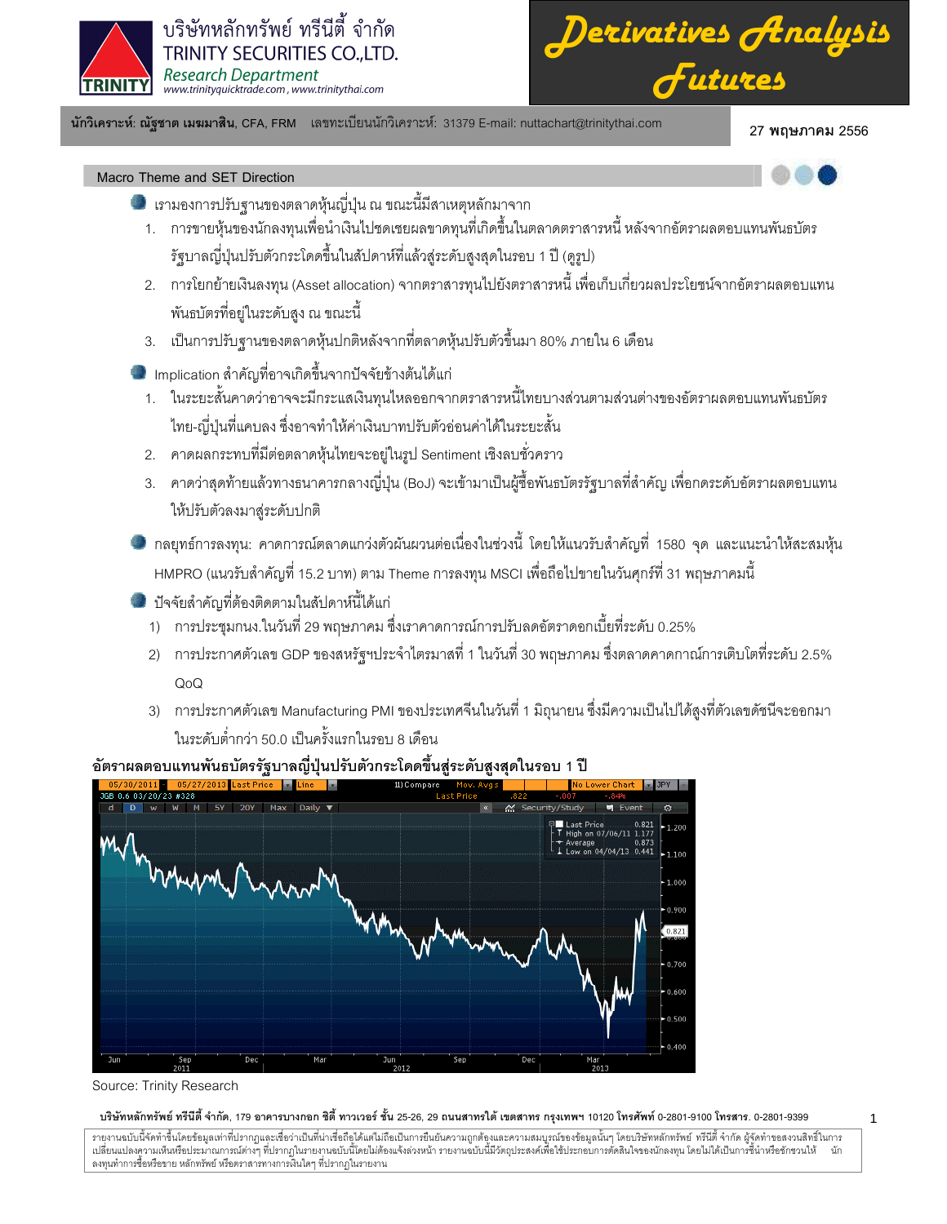

*Derivatives Analysis Futures*

นักวิเคราะห์: ณัฐชาต เมฆมาสิน, CFA, FRM แลขทะเบียนนักวิเคราะห์: 31379 E-mail: nuttachart@trinitythai.com 27 **พ** 

# 27 พถษภาคม 2556

1

- Macro Theme and SET Direction
	- เรามองการปรับฐานของตลาดหุ้นญี่ปุ่น ณ ขณะนี้มีสาเหตุหลักมาจาก
	- 1. การขายหุ้นของนักลงทุนเพื่อนำเงินไปชดเชยผลขาดทุนที่เกิดขึ้นในตลาดตราสารหนี้ หลังจากอัตราผลตอบแทนพันธบัตร รัฐบาลญี่ปุ่นปรับตัวกระโดดขึ้นในสัปดาห์ที่แล้วสู่ระดับสูงสุดในรอบ 1 ปี (ดูรูป)
	- 2. การโยกย้ายเงินลงทุน (Asset allocation) จากตราสารทุนไปยังตราสารหนี้ เพื่อเก็บเกี่ยวผลประโยชน์จากอัตราผลตอบแทน พันธบัตรที่อยู่ในระดับสูง ณ ขณะนี้
	- 3. เป็นการปรับฐานของตลาดหุ้นปกติหลังจากที่ตลาดหุ้นปรับตัวขึ้นมา 80% ภายใน 6 เดือน
	- Implication สำคัญที่อาจเกิดขึ้นจากปัจจัยข้างต้นได้แก่
		- 1. ในระยะสั้นคาดว่าอาจจะมีกระแสเงินทุนไหลออกจากตราสารหนี้ไทยบางส่วนตามส่วนต่างของอัตราผลตอบแทนพันธบัตร ไทย-ญี่ปุ่นที่แคบลง ซึ่งอาจทำให้ค่าเงินบาทปรับตัวอ่อนค่าได้ในระยะสั้น
	- 2. คาดผลกระทบที่มีต่อตลาดหุ้นไทยจะอยู่ในรูป Sentiment เชิงลบชั่วคราว
	- 3. คาดว่าสุดท้ายแล้วทางธนาคารกลางญี่ปุ่น (BoJ) จะเข้ามาเป็นผู้ซื้อพันธบัตรรัฐบาลที่สำคัญ เพื่อกดระดับอัตราผลตอบแทน ให้ปรับตัวลงมาสู่ระดับปกติ
	- กลยุทธ์การลงทุน: คาดการณ์ตลาดแกว่งตัวผันผวนต่อเนื่องในช่วงนี้ โดยให้แนวรับสำคัญที่ 1580 จุด และแนะนำให้สะสมหุ้น HMPRO (แนวรับสำคัญที่ 15.2 บาท) ตาม Theme การลงทุน MSCI เพื่อถือไปขายในวันศุกร์ที่ 31 พฤษภาคมนี้
	- ปัจจัยสำคัญที่ต้องติดตามในสัปดาห์นี้ได้แก่
		- 1) การประชุมกนง.ในวันที่ 29 พฤษภาคม ซึ่งเราคาดการณ์การปรับลดอัตราดอกเบี้ยที่ระดับ 0.25%
		- 2) การประกาศตัวเลข GDP ของสหรัฐฯประจำไตรมาสที่ 1 ในวันที่ 30 พฤษภาคม ซึ่งตลาดคาดกาณ์การเติบโตที่ระดับ 2.5% QoQ
		- 3) การประกาศตัวเลข Manufacturing PMI ของประเทศจีนในวันที่ 1 มิถุนายน ซึ่งมีความเป็นไปได้สูงที่ตัวเลขดัชนีจะออกมา ในระดับต่ำกว่า 50.0 เป็นครั้งแรกในรอบ 8 เดือน



# อัตราผลตอบแทนพันธบัตรรัฐบาลญี่ปุ่นปรับตัวกระโดดขึ้นสู่ระดับสูงสุดในรอบ 1 ปี

# บริษัทหลักทรัพย์ ทรีนีตี้ จำกัด, 179 อาคารบางกอก ซิตี้ ทาวเวอร์ ชั้น 25-26, 29 ถนนสาทรได้ เขตสาร กรุงเทพฯ 10120 โทรศัพท์ 0-2801-9399 คำสาร. 0-2801-9399

Source: Trinity Research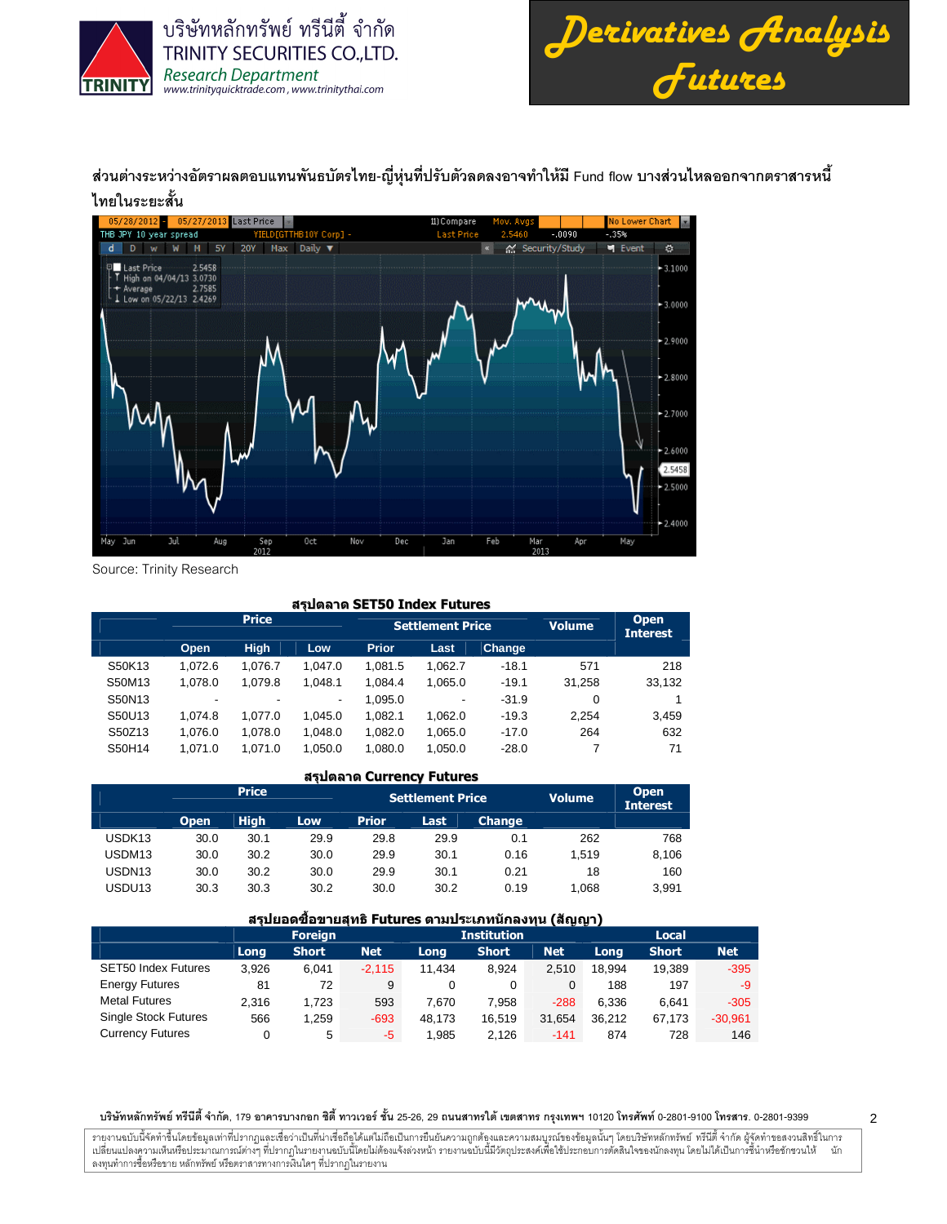



ส่วนต่างระหว่างอัตราผลตอบแทนพันธบัตรไทย-ญี่หุ่นที่ปรับตัวลดลงอาจทำให้มี Fund flow บางส่วนไหลออกจากตราสารหนี้ ไทยในระยะสั้น



Source: Trinity Research

# สรุปตลาด SET50 Index Futures

|        |                          | <b>Price</b> |         |              | <b>Settlement Price</b> | <b>Volume</b> | <b>Open</b><br><b>Interest</b> |        |
|--------|--------------------------|--------------|---------|--------------|-------------------------|---------------|--------------------------------|--------|
|        | Open                     | <b>High</b>  | Low     | <b>Prior</b> | Last                    | <b>Change</b> |                                |        |
| S50K13 | 1.072.6                  | 1.076.7      | 1.047.0 | 1.081.5      | 1.062.7                 | $-18.1$       | 571                            | 218    |
| S50M13 | 1.078.0                  | 1.079.8      | 1.048.1 | 1.084.4      | 1.065.0                 | $-19.1$       | 31.258                         | 33,132 |
| S50N13 | $\overline{\phantom{a}}$ | -            | -       | 1.095.0      | -                       | $-31.9$       | 0                              |        |
| S50U13 | 1.074.8                  | 1.077.0      | 1.045.0 | 1.082.1      | 1.062.0                 | $-19.3$       | 2.254                          | 3,459  |
| S50Z13 | 1.076.0                  | 1.078.0      | 1.048.0 | 1.082.0      | 1.065.0                 | $-17.0$       | 264                            | 632    |
| S50H14 | 1.071.0                  | 1.071.0      | 1.050.0 | 1.080.0      | 1.050.0                 | $-28.0$       |                                | 71     |

# สรุปตลาด Currency Futures

|                    |             | <b>Price</b> |            |              | <b>Settlement Price</b> |               | <b>Volume</b> | <b>Open</b><br><b>Interest</b> |
|--------------------|-------------|--------------|------------|--------------|-------------------------|---------------|---------------|--------------------------------|
|                    | <b>Open</b> | <b>High</b>  | <b>Low</b> | <b>Prior</b> | Last                    | <b>Change</b> |               |                                |
| USDK <sub>13</sub> | 30.0        | 30.1         | 29.9       | 29.8         | 29.9                    | 0.1           | 262           | 768                            |
| USDM <sub>13</sub> | 30.0        | 30.2         | 30.0       | 29.9         | 30.1                    | 0.16          | 1.519         | 8,106                          |
| USDN <sub>13</sub> | 30.0        | 30.2         | 30.0       | 29.9         | 30.1                    | 0.21          | 18            | 160                            |
| USDU <sub>13</sub> | 30.3        | 30.3         | 30.2       | 30.0         | 30.2                    | 0.19          | 1.068         | 3.991                          |

# ี่สรุปยอดซื้อขายสุทธิ Futures ตามประเภทนักลงทุน (สัญญา)

|                             |       | <b>Foreign</b> |            |        | <b>Institution</b> |        | <b>Local</b> |              |            |  |  |  |  |
|-----------------------------|-------|----------------|------------|--------|--------------------|--------|--------------|--------------|------------|--|--|--|--|
|                             | Long  | <b>Short</b>   | <b>Net</b> | Long   | <b>Short</b>       | Net    | Long         | <b>Short</b> | <b>Net</b> |  |  |  |  |
| <b>SET50 Index Futures</b>  | 3.926 | 6.041          | $-2.115$   | 11.434 | 8.924              | 2.510  | 18.994       | 19.389       | $-395$     |  |  |  |  |
| <b>Energy Futures</b>       | 81    | 72             | 9          | 0      | 0                  |        | 188          | 197          | -9         |  |  |  |  |
| <b>Metal Futures</b>        | 2.316 | 1.723          | 593        | 7.670  | 7.958              | $-288$ | 6.336        | 6.641        | $-305$     |  |  |  |  |
| <b>Single Stock Futures</b> | 566   | 1.259          | $-693$     | 48.173 | 16.519             | 31.654 | 36.212       | 67.173       | $-30,961$  |  |  |  |  |
| <b>Currency Futures</b>     |       | 5              | -5         | 1.985  | 2.126              | $-141$ | 874          | 728          | 146        |  |  |  |  |

#### บริษัทหลักทรัพย์ ทรีนีตี้ จำกัด, 179 อาคารบางกอก ซิตี้ ทาวเวอร์ ชั้น 25-26, 29 ถนนสาทรได้ เขตสาร กรุงเทพฯ 10120 โทรศัพท์ 0-2801-9399 คำสาร. 0-2801-9399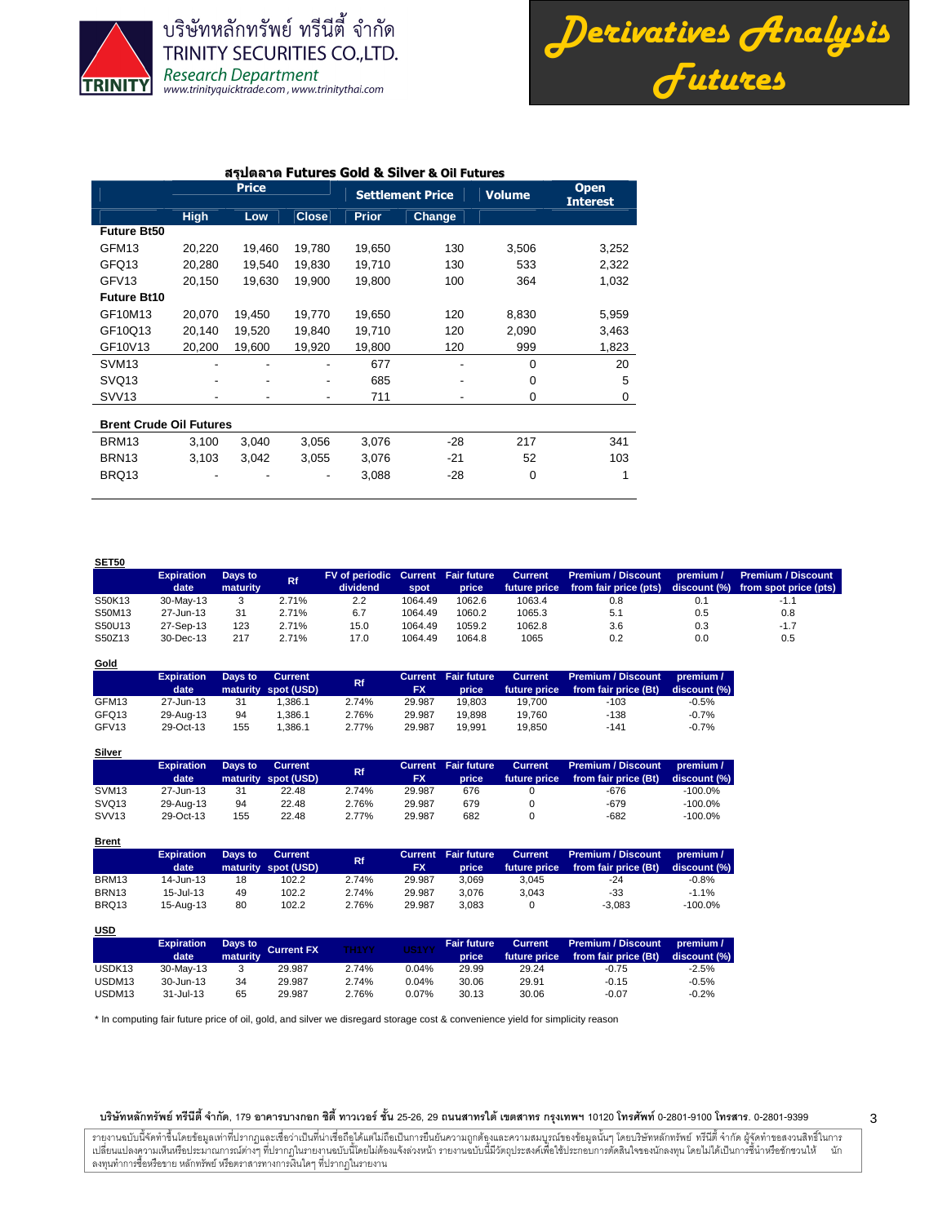

บริษัทหลักทรัพย์ ทรีนี่ตี้ จำกัด **TRINITY SECURITIES CO.,LTD. Research Department** www.trinityquicktrade.com, www.trinitythai.com

*Derivatives Analysis Futures*

#### สรุปตลาด Futures Gold & Silver & Oil Futures

|                                |             | <b>Price</b> |              |              | <b>Settlement Price</b> | <b>Volume</b> | <b>Open</b><br><b>Interest</b> |
|--------------------------------|-------------|--------------|--------------|--------------|-------------------------|---------------|--------------------------------|
|                                | <b>High</b> | Low          | <b>Close</b> | <b>Prior</b> | Change                  |               |                                |
| <b>Future Bt50</b>             |             |              |              |              |                         |               |                                |
| GFM <sub>13</sub>              | 20,220      | 19,460       | 19,780       | 19,650       | 130                     | 3,506         | 3,252                          |
| GFQ13                          | 20,280      | 19,540       | 19,830       | 19,710       | 130                     | 533           | 2,322                          |
| GFV <sub>13</sub>              | 20,150      | 19,630       | 19,900       | 19,800       | 100                     | 364           | 1,032                          |
| <b>Future Bt10</b>             |             |              |              |              |                         |               |                                |
| GF10M13                        | 20,070      | 19,450       | 19,770       | 19,650       | 120                     | 8,830         | 5,959                          |
| GF10Q13                        | 20,140      | 19,520       | 19,840       | 19,710       | 120                     | 2,090         | 3,463                          |
| GF10V13                        | 20,200      | 19,600       | 19,920       | 19,800       | 120                     | 999           | 1,823                          |
| SVM <sub>13</sub>              |             |              |              | 677          |                         | $\mathbf 0$   | 20                             |
| SVQ <sub>13</sub>              |             |              | ۰            | 685          |                         | $\mathbf 0$   | 5                              |
| SVV <sub>13</sub>              |             |              | ٠            | 711          |                         | 0             | 0                              |
| <b>Brent Crude Oil Futures</b> |             |              |              |              |                         |               |                                |
| BRM13                          | 3,100       | 3,040        | 3,056        | 3,076        | $-28$                   | 217           | 341                            |
| BRN <sub>13</sub>              | 3,103       | 3.042        | 3,055        | 3,076        | $-21$                   | 52            | 103                            |
| BRQ13                          |             |              |              | 3,088        | $-28$                   | $\mathbf 0$   |                                |

**SET50 Expiration date Days to maturity Rf FV of periodic dividend Current spot Fair future price Current future price Premium / Discount from fair price (pts) premium / discount (%) Premium / Discount from spot price (pts)** S50K13 30-May-13 3 2.71% 2.2 1064.49 1062.6 1063.4 0.8 0.1 -1.1 S50M13 27-Jun-13 31 2.71% 6.7 1064.49 1060.2 1065.3 5.1 0.5 0.8 S50U13 27-Sep-13 123 2.71% 15.0 1064.49 1059.2 1062.8 3.6 0.3 -1.7 S50Z13 30-Dec-13 217 2.71% 17.0 1064.49 1064.8 1065 0.2 0.0 0.5

| Gold              |                   |         |                     |           |           |                            |              |                      |              |
|-------------------|-------------------|---------|---------------------|-----------|-----------|----------------------------|--------------|----------------------|--------------|
|                   | <b>Expiration</b> | Days to | Current             | <b>Rf</b> |           | <b>Current</b> Fair future | Current      | Premium / Discount   | premium /    |
|                   | date              |         | maturity spot (USD) |           | <b>FX</b> | price                      | future price | from fair price (Bt) | discount (%) |
| GFM13             | 27-Jun-13         | 31      | 1.386.1             | 2.74%     | 29.987    | 19.803                     | 19.700       | $-103$               | $-0.5%$      |
| GFQ13             | 29-Aug-13         | 94      | 1.386.1             | 2.76%     | 29.987    | 19.898                     | 19.760       | $-138$               | $-0.7%$      |
| GFV <sub>13</sub> | 29-Oct-13         | 155     | 1.386.1             | 2.77%     | 29.987    | 19.991                     | 19.850       | $-141$               | $-0.7%$      |

| <b>Silver</b>     |                   |         |                     |       |           |                            |              |                      |              |
|-------------------|-------------------|---------|---------------------|-------|-----------|----------------------------|--------------|----------------------|--------------|
|                   | <b>Expiration</b> | Days to | Current             | Rf.   |           | <b>Current</b> Fair future | Current      | Premium / Discount   | premium /    |
|                   | date              |         | maturity spot (USD) |       | <b>FX</b> | price                      | future price | from fair price (Bt) | discount (%) |
| SVM <sub>13</sub> | 27-Jun-13         | 31      | 22.48               | 2.74% | 29.987    | 676                        |              | -676                 | $-100.0%$    |
| SVQ <sub>13</sub> | 29-Aug-13         | 94      | 22.48               | 2.76% | 29.987    | 679                        |              | -679                 | $-100.0%$    |
| SVV <sub>13</sub> | 29-Oct-13         | 155     | 22.48               | 2.77% | 29.987    | 682                        |              | -682                 | $-100.0\%$   |

| <b>Brent</b>      |                   |         |                     |           |           |                            |                |                           |              |
|-------------------|-------------------|---------|---------------------|-----------|-----------|----------------------------|----------------|---------------------------|--------------|
|                   | <b>Expiration</b> | Days to | <b>Current</b>      | <b>Rf</b> |           | <b>Current Fair future</b> | <b>Current</b> | <b>Premium / Discount</b> | premium /    |
|                   | date              |         | maturity spot (USD) |           | <b>FX</b> | <b>Lprice</b>              | future price   | from fair price (Bt)      | discount (%) |
| BRM13             | 14-Jun-13         | 18      | 102.2               | 2.74%     | 29.987    | 3.069                      | 3.045          | $-24$                     | $-0.8%$      |
| BRN <sub>13</sub> | $15 -$ Jul-13     | 49      | 102.2               | 2.74%     | 29.987    | 3.076                      | 3.043          | -33                       | $-1.1%$      |
| BRQ13             | 15-Aug-13         | 80      | 102.2               | 2.76%     | 29.987    | 3.083                      |                | $-3.083$                  | $-100.0%$    |

| $\overline{\phantom{a}}$ |                           |                 |                    |              |          |                             |                         |                                                   |                           |
|--------------------------|---------------------------|-----------------|--------------------|--------------|----------|-----------------------------|-------------------------|---------------------------------------------------|---------------------------|
|                          | <b>Expiration</b><br>date | <b>maturity</b> | Days to Current FX | <b>TH1YY</b> | US1YY    | <b>Fair future</b><br>price | Current<br>future price | <b>Premium / Discount</b><br>from fair price (Bt) | premium /<br>discount (%) |
| USDK <sub>13</sub>       | 30-May-13                 |                 | 29.987             | 2.74%        | 0.04%    | 29.99                       | 29.24                   | $-0.75$                                           | $-2.5%$                   |
| USDM13                   | 30-Jun-13                 | 34              | 29.987             | 2.74%        | 0.04%    | 30.06                       | 29.91                   | $-0.15$                                           | $-0.5%$                   |
| USDM13                   | 31-Jul-13                 | 65              | 29.987             | 2.76%        | $0.07\%$ | 30.13                       | 30.06                   | $-0.07$                                           | $-0.2%$                   |

\* In computing fair future price of oil, gold, and silver we disregard storage cost & convenience yield for simplicity reason

#### บริษัทหลักทรัพย์ ทรีนีตี้ จำกัด, 179 อาคารบางกอก ซิตี้ ทาวเวอร์ ชั้น 25-26, 29 ถนนสาทรได้ เขตสาร กรุงเทพฯ 10120 โทรศัพท์ 0-2801-9399 คำสาร. 0-2801-9399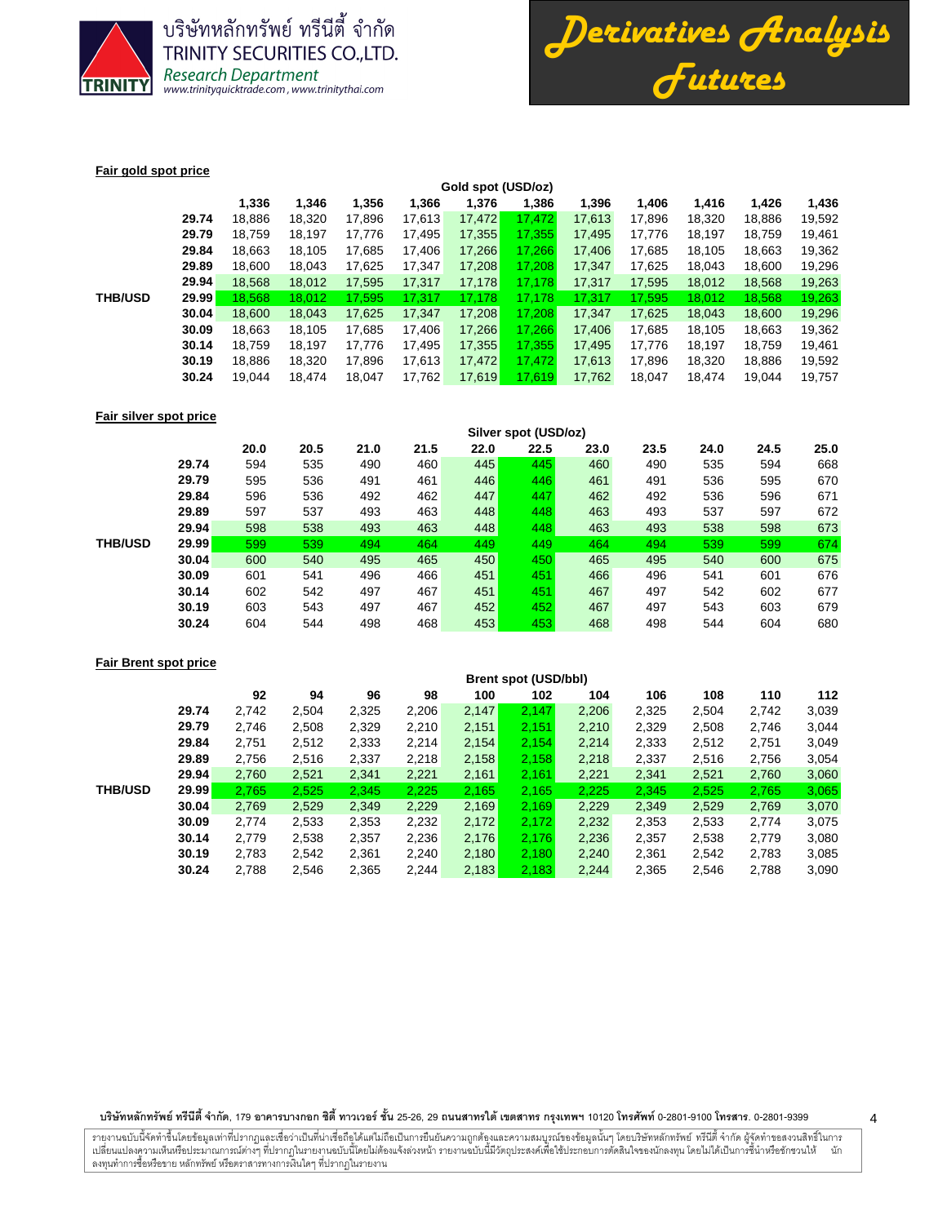

บริษัทหลักทรัพย์ ทรีนีตี้ จำกัด **TRINITY SECURITIES CO., LTD.** Research Department<br>www.trinityquicktrade.com, www.trinitythai.com



## **Fair gold spot price**

|                |       |        |        |        |        | Gold spot (USD/oz) |         |        |        |        |        |        |  |  |
|----------------|-------|--------|--------|--------|--------|--------------------|---------|--------|--------|--------|--------|--------|--|--|
|                |       | 1,336  | 1.346  | 1,356  | 1,366  | 1,376              | 1,386   | 1,396  | 1.406  | 1.416  | 1,426  | 1,436  |  |  |
|                | 29.74 | 18.886 | 18,320 | 17,896 | 17,613 | 17,472             | 17.472  | 17.613 | 17.896 | 18,320 | 18,886 | 19,592 |  |  |
|                | 29.79 | 18.759 | 18,197 | 17,776 | 17,495 | 17,355             | 17,355  | 17,495 | 17,776 | 18,197 | 18,759 | 19,461 |  |  |
|                | 29.84 | 18.663 | 18.105 | 17,685 | 17.406 | 17,266             | 17.266  | 17.406 | 17.685 | 18.105 | 18,663 | 19,362 |  |  |
|                | 29.89 | 18.600 | 18.043 | 17.625 | 17.347 | 17,208             | 17.208  | 17.347 | 17.625 | 18.043 | 18.600 | 19,296 |  |  |
|                | 29.94 | 18,568 | 18,012 | 17,595 | 17,317 | 17,178             | 17,178  | 17,317 | 17,595 | 18,012 | 18,568 | 19,263 |  |  |
| <b>THB/USD</b> | 29.99 | 18.568 | 18.012 | 17.595 | 17.317 | 17.178             | 17.178  | 17.317 | 17.595 | 18.012 | 18,568 | 19,263 |  |  |
|                | 30.04 | 18,600 | 18,043 | 17,625 | 17,347 | 17,208             | 17.208  | 17,347 | 17,625 | 18,043 | 18,600 | 19,296 |  |  |
|                | 30.09 | 18,663 | 18.105 | 17,685 | 17.406 | 17,266             | 17.266  | 17.406 | 17,685 | 18,105 | 18,663 | 19,362 |  |  |
|                | 30.14 | 18.759 | 18.197 | 17.776 | 17.495 | 17,355             | 17.3551 | 17,495 | 17.776 | 18.197 | 18.759 | 19,461 |  |  |
|                | 30.19 | 18.886 | 18.320 | 17,896 | 17,613 | 17,472             | 17.472  | 17.613 | 17.896 | 18.320 | 18,886 | 19,592 |  |  |
|                | 30.24 | 19,044 | 18.474 | 18.047 | 17,762 | 17,619             | 17,619  | 17,762 | 18.047 | 18.474 | 19.044 | 19,757 |  |  |
|                |       |        |        |        |        |                    |         |        |        |        |        |        |  |  |

### **Fair silver spot price**

|                |       | Silver spot (USD/oz) |      |      |      |      |      |      |      |      |      |      |  |
|----------------|-------|----------------------|------|------|------|------|------|------|------|------|------|------|--|
|                |       | 20.0                 | 20.5 | 21.0 | 21.5 | 22.0 | 22.5 | 23.0 | 23.5 | 24.0 | 24.5 | 25.0 |  |
|                | 29.74 | 594                  | 535  | 490  | 460  | 445  | 445  | 460  | 490  | 535  | 594  | 668  |  |
|                | 29.79 | 595                  | 536  | 491  | 461  | 446  | 446  | 461  | 491  | 536  | 595  | 670  |  |
|                | 29.84 | 596                  | 536  | 492  | 462  | 447  | 447  | 462  | 492  | 536  | 596  | 671  |  |
|                | 29.89 | 597                  | 537  | 493  | 463  | 448  | 448  | 463  | 493  | 537  | 597  | 672  |  |
|                | 29.94 | 598                  | 538  | 493  | 463  | 448  | 448  | 463  | 493  | 538  | 598  | 673  |  |
| <b>THB/USD</b> | 29.99 | 599                  | 539  | 494  | 464  | 449  | 449  | 464  | 494  | 539  | 599  | 674  |  |
|                | 30.04 | 600                  | 540  | 495  | 465  | 450  | 450  | 465  | 495  | 540  | 600  | 675  |  |
|                | 30.09 | 601                  | 541  | 496  | 466  | 451  | 451  | 466  | 496  | 541  | 601  | 676  |  |
|                | 30.14 | 602                  | 542  | 497  | 467  | 451  | 451  | 467  | 497  | 542  | 602  | 677  |  |
|                | 30.19 | 603                  | 543  | 497  | 467  | 452  | 452  | 467  | 497  | 543  | 603  | 679  |  |
|                | 30.24 | 604                  | 544  | 498  | 468  | 453  | 453  | 468  | 498  | 544  | 604  | 680  |  |

# **Fair Brent spot price**

|                |       |       | <b>Brent spot (USD/bbl)</b> |       |       |       |       |       |       |       |       |       |  |  |
|----------------|-------|-------|-----------------------------|-------|-------|-------|-------|-------|-------|-------|-------|-------|--|--|
|                |       | 92    | 94                          | 96    | 98    | 100   | 102   | 104   | 106   | 108   | 110   | 112   |  |  |
|                | 29.74 | 2.742 | 2,504                       | 2,325 | 2,206 | 2,147 | 2,147 | 2,206 | 2,325 | 2,504 | 2,742 | 3,039 |  |  |
|                | 29.79 | 2.746 | 2,508                       | 2,329 | 2,210 | 2,151 | 2,151 | 2,210 | 2,329 | 2,508 | 2,746 | 3,044 |  |  |
|                | 29.84 | 2.751 | 2,512                       | 2,333 | 2,214 | 2,154 | 2,154 | 2.214 | 2,333 | 2,512 | 2,751 | 3,049 |  |  |
|                | 29.89 | 2,756 | 2,516                       | 2,337 | 2,218 | 2,158 | 2,158 | 2,218 | 2,337 | 2,516 | 2,756 | 3,054 |  |  |
|                | 29.94 | 2,760 | 2,521                       | 2,341 | 2,221 | 2,161 | 2,161 | 2,221 | 2,341 | 2,521 | 2,760 | 3,060 |  |  |
| <b>THB/USD</b> | 29.99 | 2,765 | 2,525                       | 2,345 | 2,225 | 2,165 | 2.165 | 2,225 | 2,345 | 2,525 | 2,765 | 3,065 |  |  |
|                | 30.04 | 2,769 | 2,529                       | 2,349 | 2,229 | 2,169 | 2,169 | 2,229 | 2,349 | 2,529 | 2,769 | 3,070 |  |  |
|                | 30.09 | 2,774 | 2,533                       | 2,353 | 2,232 | 2,172 | 2,172 | 2,232 | 2,353 | 2,533 | 2,774 | 3,075 |  |  |
|                | 30.14 | 2,779 | 2,538                       | 2,357 | 2,236 | 2,176 | 2,176 | 2,236 | 2,357 | 2,538 | 2,779 | 3,080 |  |  |
|                | 30.19 | 2,783 | 2,542                       | 2,361 | 2,240 | 2,180 | 2,180 | 2,240 | 2,361 | 2,542 | 2,783 | 3,085 |  |  |
|                | 30.24 | 2,788 | 2,546                       | 2,365 | 2,244 | 2,183 | 2,183 | 2,244 | 2,365 | 2,546 | 2,788 | 3,090 |  |  |
|                |       |       |                             |       |       |       |       |       |       |       |       |       |  |  |

บริษัทหลักทรัพย์ ทรีนีตี้ จำกัด, 179 อาคารบางกอก ซิตี้ ทาวเวอร์ ชั้น 25-26, 29 ถนนสาทรได้ เขตสาร กรุงเทพฯ 10120 โทรศัพท์ 0-2801-9399 คำสาร. 0-2801-9399